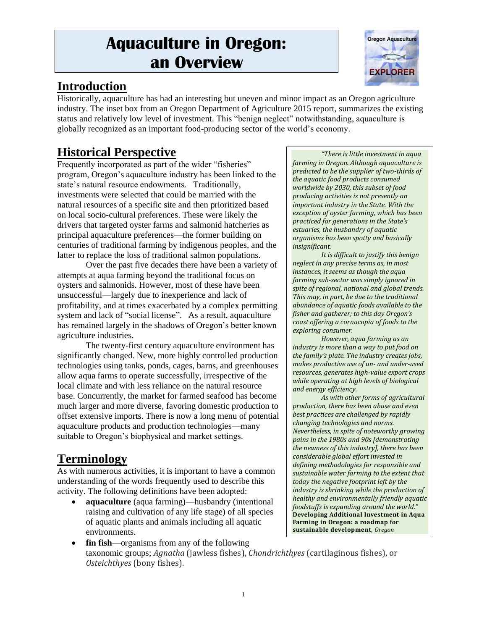# **Aquaculture in Oregon: an Overview**



## **Introduction**

Historically, aquaculture has had an interesting but uneven and minor impact as an Oregon agriculture industry. The inset box from an Oregon Department of Agriculture 2015 report, summarizes the existing status and relatively low level of investment. This "benign neglect" notwithstanding, aquaculture is globally recognized as an important food-producing sector of the world's economy.

# **Historical Perspective**

Frequently incorporated as part of the wider "fisheries" program, Oregon's aquaculture industry has been linked to the state's natural resource endowments. Traditionally, investments were selected that could be married with the natural resources of a specific site and then prioritized based on local socio-cultural preferences. These were likely the drivers that targeted oyster farms and salmonid hatcheries as principal aquaculture preferences—the former building on centuries of traditional farming by indigenous peoples, and the latter to replace the loss of traditional salmon populations.

Over the past five decades there have been a variety of attempts at aqua farming beyond the traditional focus on oysters and salmonids. However, most of these have been unsuccessful—largely due to inexperience and lack of profitability, and at times exacerbated by a complex permitting system and lack of "social license". As a result, aquaculture has remained largely in the shadows of Oregon's better known agriculture industries.

The twenty-first century aquaculture environment has significantly changed. New, more highly controlled production technologies using tanks, ponds, cages, barns, and greenhouses allow aqua farms to operate successfully, irrespective of the local climate and with less reliance on the natural resource base. Concurrently, the market for farmed seafood has become much larger and more diverse, favoring domestic production to offset extensive imports. There is now a long menu of potential aquaculture products and production technologies—many suitable to Oregon's biophysical and market settings.

## **Terminology**

As with numerous activities, it is important to have a common understanding of the words frequently used to describe this activity. The following definitions have been adopted:

• **aquaculture** (aqua farming)—husbandry (intentional raising and cultivation of any life stage) of all species of aquatic plants and animals including all aquatic environments.

*"There is little investment in aqua farming in Oregon. Although aquaculture is predicted to be the supplier of two-thirds of the aquatic food products consumed worldwide by 2030, this subset of food producing activities is not presently an important industry in the State. With the exception of oyster farming, which has been practiced for generations in the State's estuaries, the husbandry of aquatic organisms has been spotty and basically insignificant.* 

*It is difficult to justify this benign neglect in any precise terms as, in most instances, it seems as though the aqua farming sub-sector was simply ignored in spite of regional, national and global trends. This may, in part, be due to the traditional abundance of aquatic foods available to the fisher and gatherer; to this day Oregon's coast offering a cornucopia of foods to the exploring consumer.*

*However, aqua farming as an industry is more than a way to put food on the family's plate. The industry creates jobs, makes productive use of un- and under-used resources, generates high-value export crops while operating at high levels of biological and energy efficiency.* 

*As with other forms of agricultural production, there has been abuse and even best practices are challenged by rapidly changing technologies and norms. Nevertheless, in spite of noteworthy growing pains in the 1980s and 90s [demonstrating the newness of this industry], there has been considerable global effort invested in defining methodologies for responsible and sustainable water farming to the extent that today the negative footprint left by the industry is shrinking while the production of healthy and environmentally friendly aquatic foodstuffs is expanding around the world."* **Developing Additional Investment in Aqua Farming in Oregon: a roadmap for sustainable development**, *Oregon* 

• **fin fish**—organisms from any of the following taxonomic groups; *Agnatha* (jawless fishes), *Chondrichthyes* (cartilaginous fishes), or *Osteichthyes* (bony fishes). *Department of Agriculture RFP #2014-05, 2015*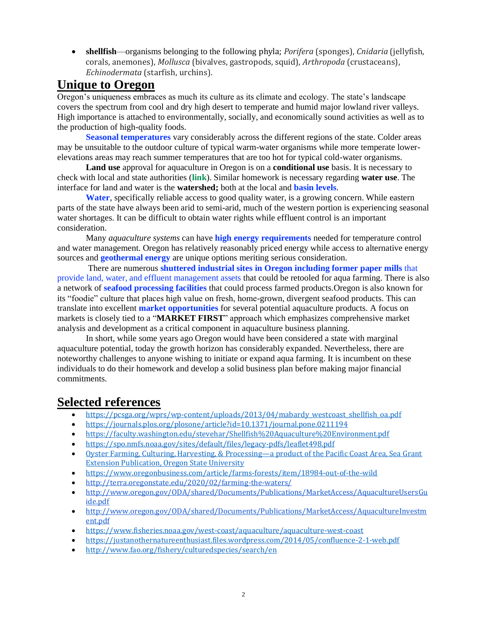• **shellfish**—organisms belonging to the following phyla; *Porifera* (sponges), *Cnidaria* (jellyfish, corals, anemones), *Mollusca* (bivalves, gastropods, squid), *Arthropoda* (crustaceans), *Echinodermata* (starfish, urchins).

#### **Unique to Oregon**

Oregon's uniqueness embraces as much its culture as its climate and ecology. The state's landscape covers the spectrum from cool and dry high desert to temperate and humid major lowland river valleys. High importance is attached to environmentally, socially, and economically sound activities as well as to the production of high-quality foods.

**Seasonal temperatures** vary considerably across the different regions of the state. Colder areas may be unsuitable to the outdoor culture of typical warm-water organisms while more temperate lowerelevations areas may reach summer temperatures that are too hot for typical cold-water organisms.

**Land use** approval for aquaculture in Oregon is on a **conditional use** basis. It is necessary to check with local and state authorities (**link**). Similar homework is necessary regarding **water use**. The interface for land and water is the **watershed;** both at the local and **basin levels**.

**Water**, specifically reliable access to good quality water, is a growing concern. While eastern parts of the state have always been arid to semi-arid, much of the western portion is experiencing seasonal water shortages. It can be difficult to obtain water rights while effluent control is an important consideration.

Many *aquaculture systems* can have **high energy requirements** needed for temperature control and water management. Oregon has relatively reasonably priced energy while access to alternative energy sources and **geothermal energy** are unique options meriting serious consideration.

There are numerous **shuttered industrial sites in Oregon including former paper mills** that provide land, water, and effluent management assets that could be retooled for aqua farming. There is also a network of **seafood processing facilities** that could process farmed products.Oregon is also known for its "foodie" culture that places high value on fresh, home-grown, divergent seafood products. This can translate into excellent **market opportunities** for several potential aquaculture products. A focus on markets is closely tied to a "**MARKET FIRST**" approach which emphasizes comprehensive market analysis and development as a critical component in aquaculture business planning.

In short, while some years ago Oregon would have been considered a state with marginal aquaculture potential, today the growth horizon has considerably expanded. Nevertheless, there are noteworthy challenges to anyone wishing to initiate or expand aqua farming. It is incumbent on these individuals to do their homework and develop a solid business plan before making major financial commitments.

#### **Selected references**

- [https://pcsga.org/wprs/wp-content/uploads/2013/04/mabardy\\_westcoast\\_shellfish\\_oa.pdf](https://pcsga.org/wprs/wp-content/uploads/2013/04/mabardy_westcoast_shellfish_oa.pdf)
- <https://journals.plos.org/plosone/article?id=10.1371/journal.pone.0211194>
- <https://faculty.washington.edu/stevehar/Shellfish%20Aquaculture%20Environment.pdf>
- <https://spo.nmfs.noaa.gov/sites/default/files/legacy-pdfs/leaflet498.pdf>
- [Oyster Farming, Culturing, Harvesting, & Processing](https://agris.fao.org/agris-search/search.do?recordID=AV2012070638)—a product of the Pacific Coast Area, Sea Grant [Extension Publication, Oregon State University](https://agris.fao.org/agris-search/search.do?recordID=AV2012070638)
- <https://www.oregonbusiness.com/article/farms-forests/item/18984-out-of-the-wild>
- <http://terra.oregonstate.edu/2020/02/farming-the-waters/>
- [http://www.oregon.gov/ODA/shared/Documents/Publications/MarketAccess/AquacultureUsersGu](http://www.oregon.gov/ODA/shared/Documents/Publications/MarketAccess/AquacultureUsersGuide.pdf) [ide.pdf](http://www.oregon.gov/ODA/shared/Documents/Publications/MarketAccess/AquacultureUsersGuide.pdf)
- [http://www.oregon.gov/ODA/shared/Documents/Publications/MarketAccess/AquacultureInvestm](http://www.oregon.gov/ODA/shared/Documents/Publications/MarketAccess/AquacultureInvestment.pdf) [ent.pdf](http://www.oregon.gov/ODA/shared/Documents/Publications/MarketAccess/AquacultureInvestment.pdf)
- <https://www.fisheries.noaa.gov/west-coast/aquaculture/aquaculture-west-coast>
- <https://justanothernatureenthusiast.files.wordpress.com/2014/05/confluence-2-1-web.pdf>
- <http://www.fao.org/fishery/culturedspecies/search/en>